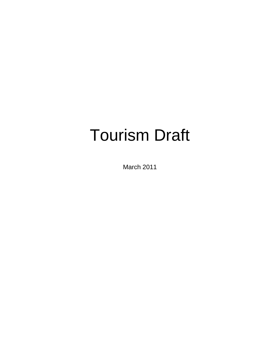## Tourism Draft

March 2011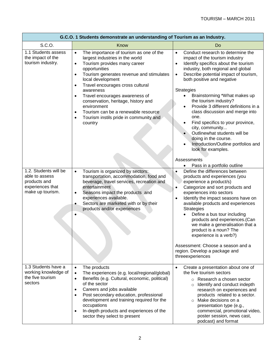| G.C.O. 1 Students demonstrate an understanding of Tourism as an Industry.                       |                                                                                                                                                                                                                                                                                                                                                                                                                                                                                                                              |                                                                                                                                                                                                                                                                                                                                                                                                                                                                                                                                                                                                                                                                                                   |
|-------------------------------------------------------------------------------------------------|------------------------------------------------------------------------------------------------------------------------------------------------------------------------------------------------------------------------------------------------------------------------------------------------------------------------------------------------------------------------------------------------------------------------------------------------------------------------------------------------------------------------------|---------------------------------------------------------------------------------------------------------------------------------------------------------------------------------------------------------------------------------------------------------------------------------------------------------------------------------------------------------------------------------------------------------------------------------------------------------------------------------------------------------------------------------------------------------------------------------------------------------------------------------------------------------------------------------------------------|
| S.C.O.                                                                                          | Know                                                                                                                                                                                                                                                                                                                                                                                                                                                                                                                         | Do                                                                                                                                                                                                                                                                                                                                                                                                                                                                                                                                                                                                                                                                                                |
| 1.1 Students assess<br>the impact of the<br>tourism industry.                                   | The importance of tourism as one of the<br>$\bullet$<br>largest industries in the world<br>Tourism provides many career<br>$\bullet$<br>opportunities<br>Tourism generates revenue and stimulates<br>$\bullet$<br>local development<br>Travel encourages cross cultural<br>$\bullet$<br>awareness<br>Travel encourages awareness of<br>$\bullet$<br>conservation, heritage, history and<br>environment<br>Tourism can be a renewable resource<br>$\bullet$<br>Tourism instils pride in community and<br>$\bullet$<br>country | Conduct research to determine the<br>$\bullet$<br>impact of the tourism industry<br>Identify specifics about the tourism<br>$\bullet$<br>industry, both regional and global<br>Describe potential impact of tourism,<br>$\bullet$<br>both positive and negative<br><b>Strategies</b><br>Brainstorming *What makes up<br>$\bullet$<br>the tourism industry?<br>Provide 3 different definitions in a<br>$\bullet$<br>class discussion and merge into<br>one.<br>Find specifics to your province,<br>$\bullet$<br>city, community<br>Outlinewhat students will be<br>doing in the course.<br>Introduction/Outline portfolios and<br>look for examples.<br>Assessments<br>Pass in a portfolio outline |
| 1.2. Students will be<br>able to assess<br>products and<br>experiences that<br>make up tourism. | Tourism is organized by sectors:<br>$\bullet$<br>transportation, accommodation, food and<br>beverage, travel services, recreation and<br>entertainment<br>Seasons impact the products and<br>$\bullet$<br>experiences available.<br>Sectors are marketed with or by their<br>$\bullet$<br>products and/or experiences                                                                                                                                                                                                        | Define the differences between<br>products and experiences (you<br>experience a product/s)<br>Categorize and sort products and<br>$\bullet$<br>experiences into sectors<br>Identify the impact seasons have on<br>$\bullet$<br>available products and experiences<br><b>Strategies</b><br>Define a bus tour including<br>products and experiences.(Can<br>we make a generalisation that a<br>product is a noun? The<br>experience is a verb?)<br>Assessment: Choose a season and a<br>region. Develop a package and<br>threeexperiences                                                                                                                                                           |
| 1.3 Students have a<br>working knowledge of<br>the five tourism<br>sectors                      | The products<br>$\bullet$<br>The experiences (e.g. local/regional/global)<br>$\bullet$<br>Benefits (e.g. Cultural, economic, political)<br>$\bullet$<br>of the sector<br>Careers and jobs available<br>٠<br>Post secondary education, professional<br>$\bullet$<br>development and training required for the<br>occupations<br>In-depth products and experiences of the<br>$\bullet$<br>sector they select to present                                                                                                        | Create a presentation about one of<br>$\bullet$<br>the five tourism sectors<br>$\circ$ Research a chosen sector<br>$\circ$ Identify and conduct indepth<br>research on experiences and<br>products related to a sector.<br>Make decisions on a<br>$\circ$<br>presentation type (e.g.,<br>commercial, promotional video,<br>poster session, news cast,<br>podcast) and format                                                                                                                                                                                                                                                                                                                      |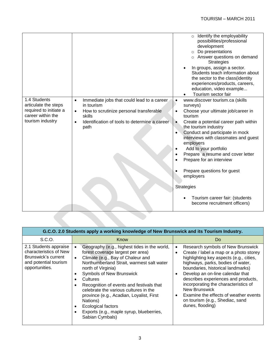|                                                                                                         |                                                                                                                                                                                                               | Identify the employability<br>$\circ$<br>possibilities/professional<br>development<br>Do presentations<br>$\circ$<br>o Answer questions on demand<br><b>Strategies</b><br>In groups, assign a sector.<br>$\bullet$<br>Students teach information about<br>the sector to the class (identity<br>experiences/products, careers,<br>education, video example<br>Tourism sector fair                                                                                                                                                                    |
|---------------------------------------------------------------------------------------------------------|---------------------------------------------------------------------------------------------------------------------------------------------------------------------------------------------------------------|-----------------------------------------------------------------------------------------------------------------------------------------------------------------------------------------------------------------------------------------------------------------------------------------------------------------------------------------------------------------------------------------------------------------------------------------------------------------------------------------------------------------------------------------------------|
| 1.4 Students<br>articulate the steps<br>required to initiate a<br>career within the<br>tourism industry | Immediate jobs that could lead to a career<br>$\bullet$<br>in tourism<br>How to scrutinize personal transferable<br>$\bullet$<br>skills<br>Identification of tools to determine a career<br>$\bullet$<br>path | www.discover tourism.ca (skills<br>$\bullet$<br>surveys)<br>Choose your ultimate job/career in<br>$\bullet$<br>tourism<br>Create a potential career path within<br>$\bullet$<br>the tourism industry<br>Conduct and participate in mock<br>$\bullet$<br>interviews with classmates and guest<br>employers<br>Add to your portfolio<br>Prepare a resume and cover letter<br>Prepare for an interview<br>Prepare questions for guest<br>employers<br><b>Strategies</b><br>Tourism career fair: (students<br>$\bullet$<br>become recruitment officers) |
|                                                                                                         |                                                                                                                                                                                                               |                                                                                                                                                                                                                                                                                                                                                                                                                                                                                                                                                     |

| G.C.O. 2.0 Students apply a working knowledge of New Brunswick and its Tourism Industry.                          |                                                                                                                                                                                                                                                                                                                                                                                                                                                                                                |                                                                                                                                                                                                                                                                                                                                                                                                                                             |
|-------------------------------------------------------------------------------------------------------------------|------------------------------------------------------------------------------------------------------------------------------------------------------------------------------------------------------------------------------------------------------------------------------------------------------------------------------------------------------------------------------------------------------------------------------------------------------------------------------------------------|---------------------------------------------------------------------------------------------------------------------------------------------------------------------------------------------------------------------------------------------------------------------------------------------------------------------------------------------------------------------------------------------------------------------------------------------|
| S.C.O.                                                                                                            | Know                                                                                                                                                                                                                                                                                                                                                                                                                                                                                           | Do                                                                                                                                                                                                                                                                                                                                                                                                                                          |
| 2.1 Students appraise<br>characteristics of New<br>Brunswick's current<br>and potential tourism<br>opportunities. | Geography (e.g., highest tides in the world,<br>forest coverage largest per area)<br>Climate (e.g., Bay of Chaleur and<br>$\bullet$<br>Northumberland Strait, warmest salt water<br>north of Virginia)<br><b>Symbols of New Brunswick</b><br><b>Cultures</b><br>Recognition of events and festivals that<br>celebrate the various cultures in the<br>province (e.g., Acadian, Loyalist, First<br>Nations)<br>Ecological factors<br>Exports (e.g., maple syrup, blueberries,<br>Sabian Cymbals) | Research symbols of New Brunswick<br>Create / label a map or a photo storey<br>highlighting key aspects (e.g., cities,<br>highways, parks, bodies of water,<br>boundaries, historical landmarks)<br>Develop an on-line calendar that<br>describes experiences and products,<br>incorporating the characteristics of<br><b>New Brunswick</b><br>Examine the effects of weather events<br>on tourism (e.g., Shediac, sand<br>dunes, flooding) |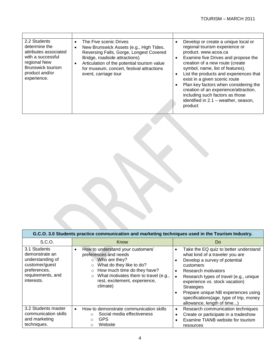| 2.2 Students<br>determine the<br>attributes associated<br>with a successful<br>regional New<br><b>Brunswick tourism</b><br>product and/or<br>experience. | The Five scenic Drives<br>$\bullet$<br>New Brunswick Assets (e.g., High Tides,<br>Reversing Falls, Gorge, Longest Covered<br>Bridge, roadside attractions)<br>Articulation of the potential tourism value<br>$\bullet$<br>for museum, concert, festival attractions<br>event, carriage tour | $\bullet$<br>$\bullet$<br>$\bullet$<br>$\bullet$ | Develop or create a unique local or<br>regional tourism experience or<br>product. www.acoa.ca<br>Examine five Drives and propose the<br>creation of a new route (create<br>symbol, name, list of features).<br>List the products and experiences that<br>exist in a given scenic route<br>Plan key factors when considering the |
|----------------------------------------------------------------------------------------------------------------------------------------------------------|---------------------------------------------------------------------------------------------------------------------------------------------------------------------------------------------------------------------------------------------------------------------------------------------|--------------------------------------------------|---------------------------------------------------------------------------------------------------------------------------------------------------------------------------------------------------------------------------------------------------------------------------------------------------------------------------------|
|                                                                                                                                                          |                                                                                                                                                                                                                                                                                             |                                                  | creation of an experience/attraction,<br>including such factors as those<br>identified in 2.1 - weather, season,<br>product                                                                                                                                                                                                     |

| G.C.O. 3.0 Students practice communication and marketing techniques used in the Tourism Industry.                       |                                                                                                                                                                                                                                                                                   |                                                                                                                                                                                                                                                                                                                                                                                                                                 |
|-------------------------------------------------------------------------------------------------------------------------|-----------------------------------------------------------------------------------------------------------------------------------------------------------------------------------------------------------------------------------------------------------------------------------|---------------------------------------------------------------------------------------------------------------------------------------------------------------------------------------------------------------------------------------------------------------------------------------------------------------------------------------------------------------------------------------------------------------------------------|
| S.C.O.                                                                                                                  | Know                                                                                                                                                                                                                                                                              | Do                                                                                                                                                                                                                                                                                                                                                                                                                              |
| 3.1 Students<br>demonstrate an<br>understanding of<br>customer/guest<br>preferences,<br>requirements, and<br>interests. | How to understand your customers'<br>$\bullet$<br>preferences and needs<br>$\circ$ Who are they?<br>What do they like to do?<br>$\circ$<br>How much time do they have?<br>$\circ$<br>What motivates them to travel (e.g.,<br>$\circ$<br>rest, excitement, experience,<br>climate) | Take the EQ quiz to better understand<br>$\bullet$<br>what kind of a traveler you are<br>Develop a survey of potential<br>$\bullet$<br>customers<br>Research motivators<br>$\bullet$<br>Research types of travel (e.g., unique<br>$\bullet$<br>experience vs. stock vacation)<br><b>Strategies</b><br>Prepare unique NB experiences using<br>$\bullet$<br>specifications(age, type of trip, money<br>allowance, length of time) |
| 3.2 Students master<br>communication skills<br>and marketing<br>techniques.                                             | How to demonstrate communication skills<br>$\bullet$<br>Social media effectiveness<br>$\circ$<br><b>GPS</b><br>$\circ$<br>Website<br>$\Omega$                                                                                                                                     | Research communication techniques<br>$\bullet$<br>Create or participate in a tradeshow<br>$\bullet$<br>Examine TIANB website for tourism<br>$\bullet$<br>resources                                                                                                                                                                                                                                                              |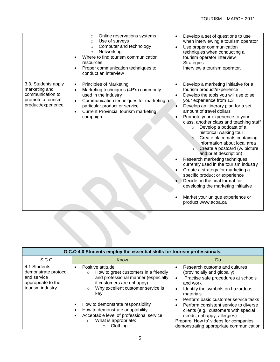|                                                                                                      | Online reservations systems<br>$\circ$<br>Use of surveys<br>$\circ$<br>Computer and technology<br>$\circ$<br>Networking<br>$\circ$<br>Where to find tourism communication<br>$\bullet$<br>resources<br>Proper communication techniques to<br>$\bullet$<br>conduct an interview       | Develop a set of questions to use<br>when interviewing a tourism operator<br>Use proper communication<br>$\bullet$<br>techniques when conducting a<br>tourism operator interview<br><b>Strategies</b><br>Interview a tourism operator.                                                                                                                                                                                                                                                                                                                                                                                                                                                                                                                                                                                         |
|------------------------------------------------------------------------------------------------------|--------------------------------------------------------------------------------------------------------------------------------------------------------------------------------------------------------------------------------------------------------------------------------------|--------------------------------------------------------------------------------------------------------------------------------------------------------------------------------------------------------------------------------------------------------------------------------------------------------------------------------------------------------------------------------------------------------------------------------------------------------------------------------------------------------------------------------------------------------------------------------------------------------------------------------------------------------------------------------------------------------------------------------------------------------------------------------------------------------------------------------|
| 3.3. Students apply<br>marketing and<br>communication to<br>promote a tourism<br>product/experience. | <b>Principles of Marketing</b><br>$\bullet$<br>Marketing techniques (4P's) commonly<br>$\bullet$<br>used in the industry<br>Communication techniques for marketing a<br>$\bullet$<br>particular product or service<br>Current Provincial tourism marketing<br>$\bullet$<br>campaign. | Develop a marketing initiative for a<br>$\bullet$<br>tourism product/experience<br>Develop the tools you will use to sell<br>$\bullet$<br>your experience from 1.3<br>Develop an itinerary plan for a set<br>٠<br>amount of travel dollars<br>Promote your experience to your<br>class, another class and teaching staff<br>Develop a podcast of a<br>$\circ$<br>historical walking tour<br>Create placemats containing<br>$\circ$<br>information about local area<br>Create a postcard (w. picture<br>$\circ$<br>and brief description)<br>Research marketing techniques<br>currently used in the tourism industry<br>Create a strategy for marketing a<br>specific product or experience<br>Decide on the final format for<br>developing the marketing initiative<br>Market your unique experience or<br>product www.acoa.ca |

| G.C.O 4.0 Students employ the essential skills for tourism professionals.                      |                                                                                                                                                                                                                                                                                                                                       |                                                                                                                                                                                                                                                                                                                                        |
|------------------------------------------------------------------------------------------------|---------------------------------------------------------------------------------------------------------------------------------------------------------------------------------------------------------------------------------------------------------------------------------------------------------------------------------------|----------------------------------------------------------------------------------------------------------------------------------------------------------------------------------------------------------------------------------------------------------------------------------------------------------------------------------------|
| S.C.O.                                                                                         | Know                                                                                                                                                                                                                                                                                                                                  | Do                                                                                                                                                                                                                                                                                                                                     |
| 4.1 Students<br>demonstrate protocol<br>and service<br>appropriate to the<br>tourism industry. | Positive attitude<br>$\bullet$<br>How to greet customers in a friendly<br>$\circ$<br>and professional manner (especially<br>if customers are unhappy)<br>Why excellent customer service is<br>$\circ$<br>kev<br>How to demonstrate responsibility<br>٠<br>How to demonstrate adaptability<br>Acceptable level of professional service | Research customs and cultures<br>(provincially and globally)<br>Practise safe procedures at schools<br>$\bullet$<br>and work<br>Identify the symbols on hazardous<br>materials<br>Perform basic customer service tasks<br>Perform consistent service to diverse<br>clients (e.g., customers with special<br>needs, unhappy, allergies) |
|                                                                                                | What is appropriate:<br>$\Omega$<br>Clothing<br>$\circ$                                                                                                                                                                                                                                                                               | Prepare 'How to' videos for companies<br>demonstrating appropriate communication                                                                                                                                                                                                                                                       |